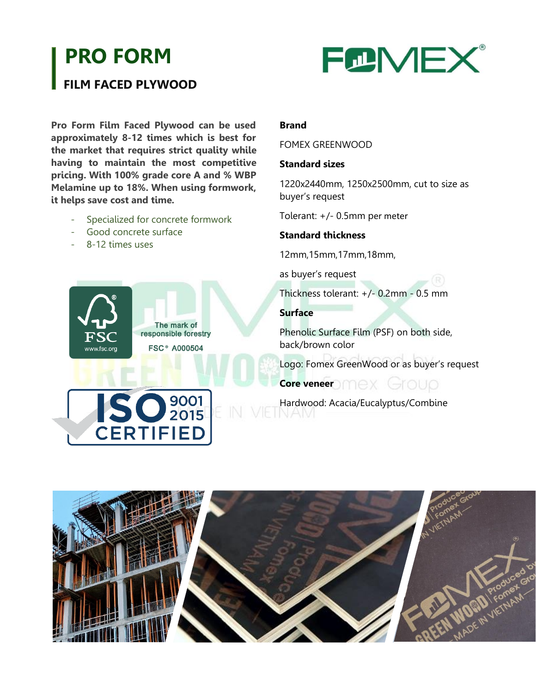# **PRO FORM**

### **FILM FACED PLYWOOD**

**FCNEX®** 

**Pro Form Film Faced Plywood can be used approximately 8-12 times which is best for the market that requires strict quality while having to maintain the most competitive pricing. With 100% grade core A and % WBP Melamine up to 18%. When using formwork, it helps save cost and time.**

- Specialized for concrete formwork
- Good concrete surface
- 8-12 times uses

## The mark of responsible forestry **FSC<sup>®</sup> A000504** www.fsc.ord

#### **Brand**

#### FOMEX GREENWOOD

#### **Standard sizes**

1220x2440mm, 1250x2500mm, cut to size as buyer's request

Tolerant: +/- 0.5mm per meter

#### **Standard thickness**

12mm,15mm,17mm,18mm,

as buyer's request

Thickness tolerant: +/- 0.2mm - 0.5 mm

#### **Surface**

Phenolic Surface Film (PSF) on both side, back/brown color

Logo: Fomex GreenWood or as buyer's request

## **Core veneer** and **Core veneer**

Hardwood: Acacia/Eucalyptus/Combine